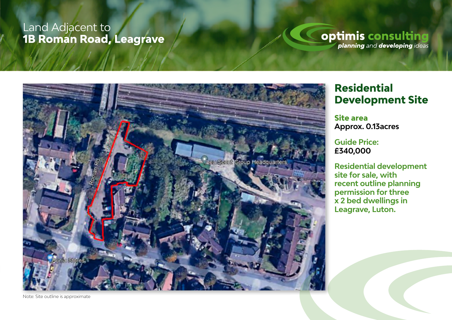### Land Adjacent to **1B Roman Road, Leagrave**

### **optimis consulting**



**Residential Development Site**

**Site area Approx. 0.13acres**

**Guide Price: £340,000**

**Residential development site for sale, with recent outline planning permission for three x 2 bed dwellings in Leagrave, Luton.** 

Note: Site outline is approximate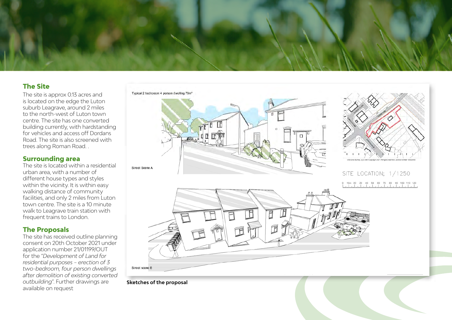

#### **The Site**

The site is approx 0.13 acres and is located on the edge the Luton suburb Leagrave, around 2 miles to the north-west of Luton town centre. The site has one converted building currently, with hardstanding for vehicles and access off Dordans Road. The site is also screened with trees along Roman Road. .

#### **Surrounding area**

The site is located within a residential urban area, with a number of different house types and styles within the vicinity. It is within easy walking distance of community facilities, and only 2 miles from Luton town centre. The site is a 10 minute walk to Leagrave train station with frequent trains to London.

#### **The Proposals**

The site has received outline planning consent on 20th October 2021 under application number 21/01199/OUT for the "*Development of Land for residential purposes – erection of 3 two-bedroom, four person dwellings after demolition of existing converted outbuilding*". Further drawings are available on request







SITE LOCATION; 1/1250 40 50 60 70 80 90 100 110 120



**Sketches of the proposal**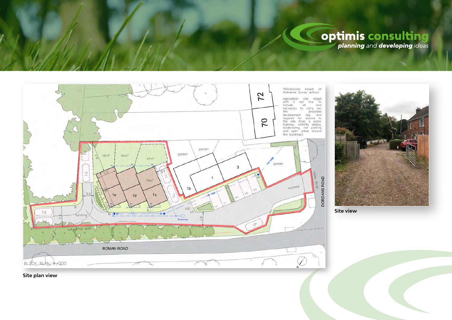# **optimis consulting**

\*Dimensions based on<br>Ordnance-Survey-extract  $72$ Application site edged<br>with a red line: to<br>include all land<br>necessary to carry out the proposed the development (eg. land<br>development (eg. land<br>required for access to<br>the site from a public<br>bindway, visibility splays,<br>landcacaping, car parking<br>and open creas around<br>the buildings)  $\overline{70}$ garden garden  $45m<sup>2</sup>$  $46m<sup>2</sup>$  $47m<sup>2</sup>$ Charles Co garden  $\overline{3}$  $\omega$ kerb  $\overline{1}$ DORDANS ROAD  $79m<sup>2</sup>$ drop occess  $1<sub>c</sub>$  $1e$  $1d$  $100$  $1d$ furning  $\sim$ retaining wall ROMAN ROAD Ĉ BLOCK PLAN: +/200  $\sqrt{2}$  $\chi$ ń,

uniti arti

**Site view**

**Site plan view**